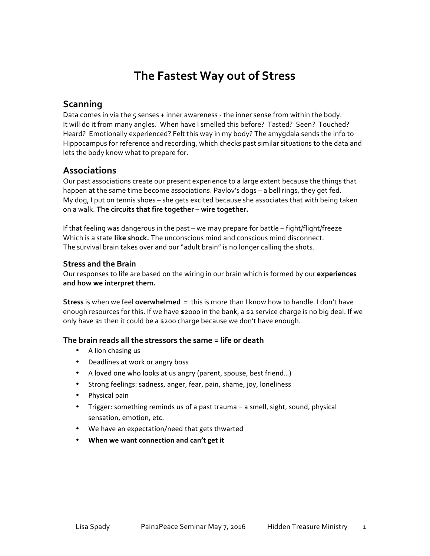# **The Fastest Way out of Stress**

### **Scanning**

Data comes in via the 5 senses + inner awareness - the inner sense from within the body. It will do it from many angles. When have I smelled this before? Tasted? Seen? Touched? Heard? Emotionally experienced? Felt this way in my body? The amygdala sends the info to Hippocampus for reference and recording, which checks past similar situations to the data and lets the body know what to prepare for.

### **Associations**

Our past associations create our present experience to a large extent because the things that happen at the same time become associations. Pavlov's dogs – a bell rings, they get fed. My dog, I put on tennis shoes - she gets excited because she associates that with being taken on a walk. The circuits that fire together - wire together.

If that feeling was dangerous in the past – we may prepare for battle – fight/flight/freeze Which is a state **like shock.** The unconscious mind and conscious mind disconnect. The survival brain takes over and our "adult brain" is no longer calling the shots.

#### **Stress and the Brain**

Our responses to life are based on the wiring in our brain which is formed by our *experiences* and how we interpret them.

**Stress** is when we feel **overwhelmed** = this is more than I know how to handle. I don't have enough resources for this. If we have \$2000 in the bank, a \$2 service charge is no big deal. If we only have \$1 then it could be a \$200 charge because we don't have enough.

#### **The brain reads all the stressors the same = life or death**

- A lion chasing us
- Deadlines at work or angry boss
- A loved one who looks at us angry (parent, spouse, best friend...)
- Strong feelings: sadness, anger, fear, pain, shame, joy, loneliness
- Physical pain
- Trigger: something reminds us of a past trauma a smell, sight, sound, physical sensation, emotion, etc.
- We have an expectation/need that gets thwarted
- When we want connection and can't get it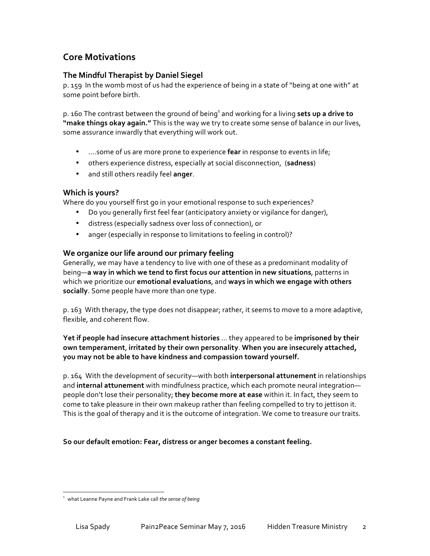# **Core Motivations**

### **The Mindful Therapist by Daniel Siegel**

p. 159 In the womb most of us had the experience of being in a state of "being at one with" at some point before birth.

p. 160 The contrast between the ground of being<sup>1</sup> and working for a living sets up a drive to "make things okay again." This is the way we try to create some sense of balance in our lives, some assurance inwardly that everything will work out.

- ....some of us are more prone to experience **fear** in response to events in life;
- others experience distress, especially at social disconnection, (sadness)
- and still others readily feel **anger**.

#### **Which is yours?**

Where do you yourself first go in your emotional response to such experiences?

- Do you generally first feel fear (anticipatory anxiety or vigilance for danger),
- distress (especially sadness over loss of connection), or
- anger (especially in response to limitations to feeling in control)?

#### We organize our life around our primary feeling

Generally, we may have a tendency to live with one of these as a predominant modality of being—**a** way in which we tend to first focus our attention in new situations, patterns in which we prioritize our **emotional evaluations**, and ways in which we engage with others **socially**. Some people have more than one type.

p. 163 With therapy, the type does not disappear; rather, it seems to move to a more adaptive, flexible, and coherent flow.

**Yet if people had insecure attachment histories** ... they appeared to be imprisoned by their own temperament, irritated by their own personality. When you are insecurely attached, **you may not be able to have kindness and compassion toward yourself.** 

p. 164 With the development of security—with both interpersonal attunement in relationships and **internal attunement** with mindfulness practice, which each promote neural integration people don't lose their personality; **they become more at ease** within it. In fact, they seem to come to take pleasure in their own makeup rather than feeling compelled to try to jettison it. This is the goal of therapy and it is the outcome of integration. We come to treasure our traits.

So our default emotion: Fear, distress or anger becomes a constant feeling.

<sup>&</sup>lt;u> 1989 - Jan Samuel Barbara, margaret e</u> <sup>1</sup> what Leanne Payne and Frank Lake call the sense of being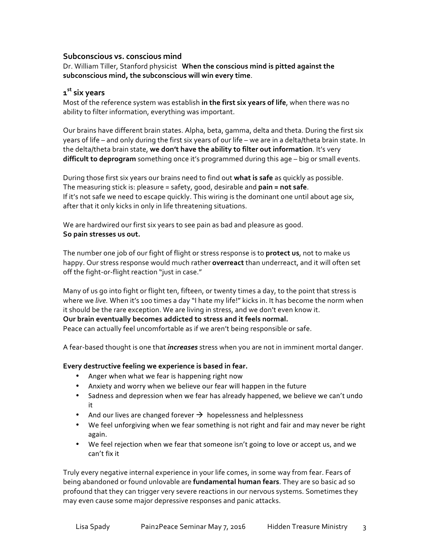#### **Subconscious vs. conscious mind**

Dr. William Tiller, Stanford physicist When the conscious mind is pitted against the subconscious mind, the subconscious will win every time.

### **1st six years**

Most of the reference system was establish in the first six years of life, when there was no ability to filter information, everything was important.

Our brains have different brain states. Alpha, beta, gamma, delta and theta. During the first six years of life – and only during the first six years of our life – we are in a delta/theta brain state. In the delta/theta brain state, we don't have the ability to filter out information. It's very **difficult to deprogram** something once it's programmed during this age – big or small events.

During those first six years our brains need to find out what is safe as quickly as possible. The measuring stick is: pleasure = safety, good, desirable and **pain = not safe**. If it's not safe we need to escape quickly. This wiring is the dominant one until about age six, after that it only kicks in only in life threatening situations.

We are hardwired our first six years to see pain as bad and pleasure as good. So pain stresses us out.

The number one job of our fight of flight or stress response is to **protect us**, not to make us happy. Our stress response would much rather **overreact** than underreact, and it will often set off the fight-or-flight reaction "just in case."

Many of us go into fight or flight ten, fifteen, or twenty times a day, to the point that stress is where we live. When it's 100 times a day "I hate my life!" kicks in. It has become the norm when it should be the rare exception. We are living in stress, and we don't even know it. Our brain eventually becomes addicted to stress and it feels normal.

Peace can actually feel uncomfortable as if we aren't being responsible or safe.

A fear-based thought is one that *increases* stress when you are not in imminent mortal danger.

#### Every destructive feeling we experience is based in fear.

- Anger when what we fear is happening right now
- Anxiety and worry when we believe our fear will happen in the future
- Sadness and depression when we fear has already happened, we believe we can't undo it
- And our lives are changed forever  $\rightarrow$  hopelessness and helplessness
- We feel unforgiving when we fear something is not right and fair and may never be right again.
- We feel rejection when we fear that someone isn't going to love or accept us, and we can't fix it

Truly every negative internal experience in your life comes, in some way from fear. Fears of being abandoned or found unlovable are **fundamental human fears**. They are so basic ad so profound that they can trigger very severe reactions in our nervous systems. Sometimes they may even cause some major depressive responses and panic attacks.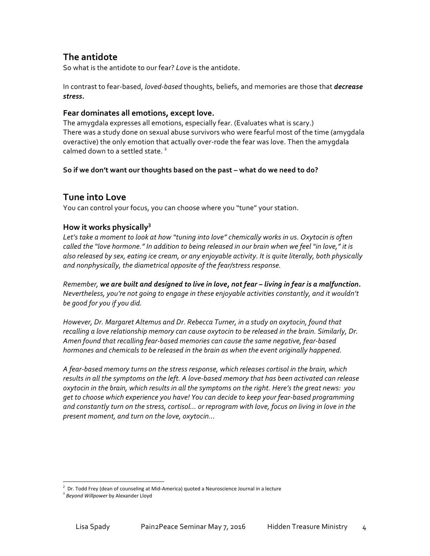### **The antidote**

So what is the antidote to our fear? Love is the antidote.

In contrast to fear-based, *loved-based* thoughts, beliefs, and memories are those that *decrease stress.* 

#### **Fear dominates all emotions, except love.**

The amygdala expresses all emotions, especially fear. (Evaluates what is scary.) There was a study done on sexual abuse survivors who were fearful most of the time (amygdala overactive) the only emotion that actually over-rode the fear was love. Then the amygdala calmed down to a settled state.<sup>2</sup>

#### So if we don't want our thoughts based on the past – what do we need to do?

### **Tune into Love**

You can control your focus, you can choose where you "tune" your station.

### How it works physically<sup>3</sup>

Let's take a moment to look at how "tuning into love" chemically works in us. Oxytocin is often called the "love hormone." In addition to being released in our brain when we feel "in love," it is also released by sex, eating ice cream, or any enjoyable activity. It is quite literally, both physically and nonphysically, the diametrical opposite of the fear/stress response.

*Remember,* we are built and designed to live in love, not fear – living in fear is a malfunction. Nevertheless, you're not going to engage in these enjoyable activities constantly, and it wouldn't be good for you if you did.

However, Dr. Margaret Altemus and Dr. Rebecca Turner, in a study on oxytocin, found that recalling a love relationship memory can cause oxytocin to be released in the brain. Similarly, Dr. Amen found that recalling fear-based memories can cause the same negative, fear-based *hormones and chemicals to be released in the brain as when the event originally happened.* 

*A fear-based memory turns on the stress response, which releases cortisol in the brain, which*  results in all the symptoms on the left. A love-based memory that has been activated can release oxytocin in the brain, which results in all the symptoms on the right. Here's the great news: you get to choose which experience you have! You can decide to keep your fear-based programming and constantly turn on the stress, cortisol... or reprogram with love, focus on living in love in the present moment, and turn on the love, oxytocin...

<u> 1989 - Jan Samuel Barbara, margaret e</u>

 $2$  Dr. Todd Frey (dean of counseling at Mid-America) quoted a Neuroscience Journal in a lecture

<sup>&</sup>lt;sup>3</sup> Beyond Willpower by Alexander Lloyd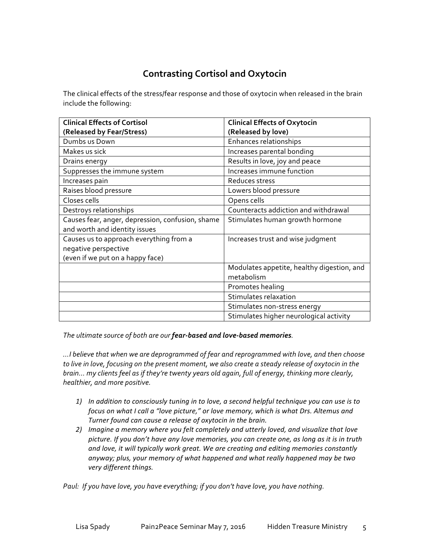# **Contrasting Cortisol and Oxytocin**

The clinical effects of the stress/fear response and those of oxytocin when released in the brain include the following:

| <b>Clinical Effects of Cortisol</b>              | <b>Clinical Effects of Oxytocin</b>        |
|--------------------------------------------------|--------------------------------------------|
| (Released by Fear/Stress)                        | (Released by love)                         |
| Dumbs us Down                                    | Enhances relationships                     |
| Makes us sick                                    | Increases parental bonding                 |
| Drains energy                                    | Results in love, joy and peace             |
| Suppresses the immune system                     | Increases immune function                  |
| Increases pain                                   | Reduces stress                             |
| Raises blood pressure                            | Lowers blood pressure                      |
| Closes cells                                     | Opens cells                                |
| Destroys relationships                           | Counteracts addiction and withdrawal       |
| Causes fear, anger, depression, confusion, shame | Stimulates human growth hormone            |
| and worth and identity issues                    |                                            |
| Causes us to approach everything from a          | Increases trust and wise judgment          |
| negative perspective                             |                                            |
| (even if we put on a happy face)                 |                                            |
|                                                  | Modulates appetite, healthy digestion, and |
|                                                  | metabolism                                 |
|                                                  | Promotes healing                           |
|                                                  | Stimulates relaxation                      |
|                                                  | Stimulates non-stress energy               |
|                                                  | Stimulates higher neurological activity    |

The ultimate source of both are our **fear-based and love-based memories**.

*…I believe that when we are deprogrammed of fear and reprogrammed with love, and then choose*  to live in love, focusing on the present moment, we also create a steady release of oxytocin in the *brain...* my clients feel as if they're twenty years old again, full of energy, thinking more clearly, *healthier, and more positive.* 

- 1) In addition to consciously tuning in to love, a second helpful technique you can use is to *focus* on what I call a "love picture," or love memory, which is what Drs. Altemus and *Turner found can cause a release of oxytocin in the brain.*
- 2) *Imagine a memory where you felt completely and utterly loved, and visualize that love* picture. If you don't have any love memories, you can create one, as long as it is in truth and love, it will typically work great. We are creating and editing memories constantly anyway; plus, your memory of what happened and what really happened may be two *very different things.*

Paul: If you have love, you have everything; if you don't have love, you have nothing.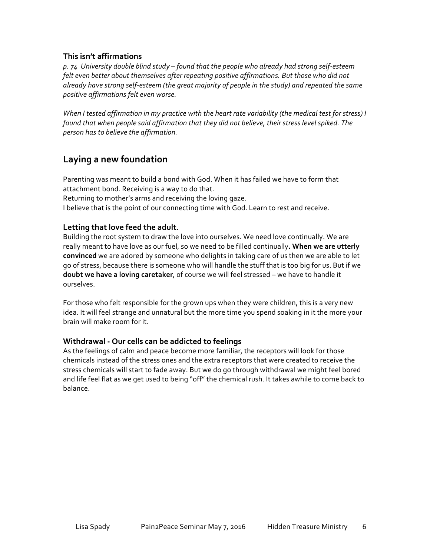#### **This isn't affirmations**

p. 74 University double blind study – found that the people who already had strong self-esteem felt even better about themselves after repeating positive affirmations. But those who did not already have strong self-esteem (the great majority of people in the study) and repeated the same *positive affirmations felt even worse.* 

*When I* tested affirmation in my practice with the heart rate variability (the medical test for stress) I *found* that when people said affirmation that they did not believe, their stress level spiked. The *person has to believe the affirmation.* 

# **Laying a new foundation**

Parenting was meant to build a bond with God. When it has failed we have to form that attachment bond. Receiving is a way to do that.

Returning to mother's arms and receiving the loving gaze.

I believe that is the point of our connecting time with God. Learn to rest and receive.

#### Letting that love feed the adult.

Building the root system to draw the love into ourselves. We need love continually. We are really meant to have love as our fuel, so we need to be filled continually. When we are utterly convinced we are adored by someone who delights in taking care of us then we are able to let go of stress, because there is someone who will handle the stuff that is too big for us. But if we **doubt we have a loving caretaker**, of course we will feel stressed – we have to handle it ourselves. 

For those who felt responsible for the grown ups when they were children, this is a very new idea. It will feel strange and unnatural but the more time you spend soaking in it the more your brain will make room for it.

#### **Withdrawal** - Our cells can be addicted to feelings

As the feelings of calm and peace become more familiar, the receptors will look for those chemicals instead of the stress ones and the extra receptors that were created to receive the stress chemicals will start to fade away. But we do go through withdrawal we might feel bored and life feel flat as we get used to being "off" the chemical rush. It takes awhile to come back to balance.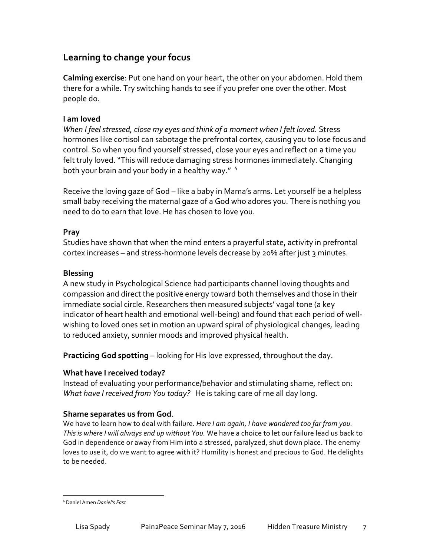# **Learning to change your focus**

**Calming exercise**: Put one hand on your heart, the other on your abdomen. Hold them there for a while. Try switching hands to see if you prefer one over the other. Most people do.

### **I am loved**

*When I* feel stressed, close my eyes and think of a moment when I felt loved. Stress hormones like cortisol can sabotage the prefrontal cortex, causing you to lose focus and control. So when you find yourself stressed, close your eyes and reflect on a time you felt truly loved. "This will reduce damaging stress hormones immediately. Changing both your brain and your body in a healthy way." 4

Receive the loving gaze of God – like a baby in Mama's arms. Let yourself be a helpless small baby receiving the maternal gaze of a God who adores you. There is nothing you need to do to earn that love. He has chosen to love you.

### **Pray**

Studies have shown that when the mind enters a prayerful state, activity in prefrontal cortex increases – and stress-hormone levels decrease by 20% after just 3 minutes.

### **Blessing**

A new study in Psychological Science had participants channel loving thoughts and compassion and direct the positive energy toward both themselves and those in their immediate social circle. Researchers then measured subjects' vagal tone (a key indicator of heart health and emotional well-being) and found that each period of wellwishing to loved ones set in motion an upward spiral of physiological changes, leading to reduced anxiety, sunnier moods and improved physical health.

**Practicing God spotting** – looking for His love expressed, throughout the day.

### **What have I received today?**

Instead of evaluating your performance/behavior and stimulating shame, reflect on: *What have I received from You today?* He is taking care of me all day long.

#### **Shame separates us from God.**

<u> 1989 - Johann Barn, mars ann an t-Amhain an t-Amhain an t-Amhain an t-Amhain an t-Amhain an t-Amhain an t-Amh</u>

We have to learn how to deal with failure. *Here I am again, I have wandered too far from you. This is where I will always end up without You.* We have a choice to let our failure lead us back to God in dependence or away from Him into a stressed, paralyzed, shut down place. The enemy loves to use it, do we want to agree with it? Humility is honest and precious to God. He delights to be needed.

<sup>4</sup> Daniel Amen *Daniel's Fast*